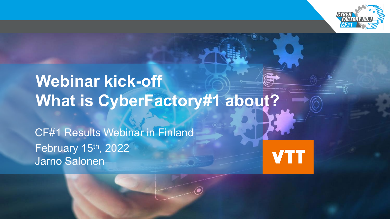

# **Webinar kick-off What is CyberFactory#1 about?**

CF#1 Results Webinar in Finland February 15<sup>th</sup>, 2022 Jarno Salonen

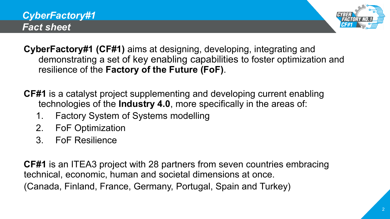



- **CyberFactory#1 (CF#1)** aims at designing, developing, integrating and demonstrating a set of key enabling capabilities to foster optimization and resilience of the **Factory of the Future (FoF)**.
- **CF#1** is a catalyst project supplementing and developing current enabling technologies of the **Industry 4.0**, more specifically in the areas of:
	- 1. Factory System of Systems modelling
	- 2. FoF Optimization
	- 3. FoF Resilience

**CF#1** is an ITEA3 project with 28 partners from seven countries embracing technical, economic, human and societal dimensions at once. (Canada, Finland, France, Germany, Portugal, Spain and Turkey)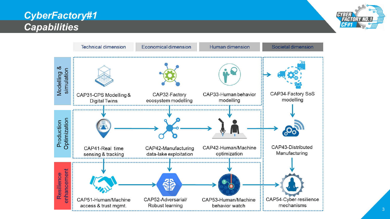### *CyberFactory#1 Capabilities*



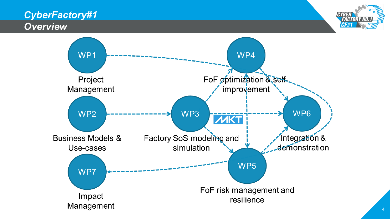#### *CyberFactory#1 Overview*



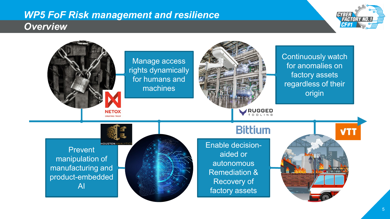#### *WP5 FoF Risk management and resilience Overview*



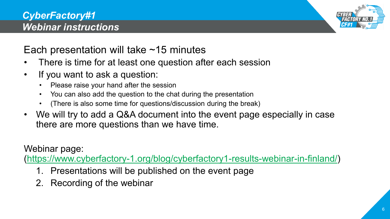

## Each presentation will take  $\sim$ 15 minutes

- There is time for at least one question after each session
- If you want to ask a question:
	- Please raise your hand after the session
	- You can also add the question to the chat during the presentation
	- (There is also some time for questions/discussion during the break)
- We will try to add a Q&A document into the event page especially in case there are more questions than we have time.

Webinar page:

([https://www.cyberfactory-1.org/blog/cyberfactory1-results-webinar-in-finland/\)](https://www.cyberfactory-1.org/blog/cyberfactory1-results-webinar-in-finland/)

- 1. Presentations will be published on the event page
- 2. Recording of the webinar